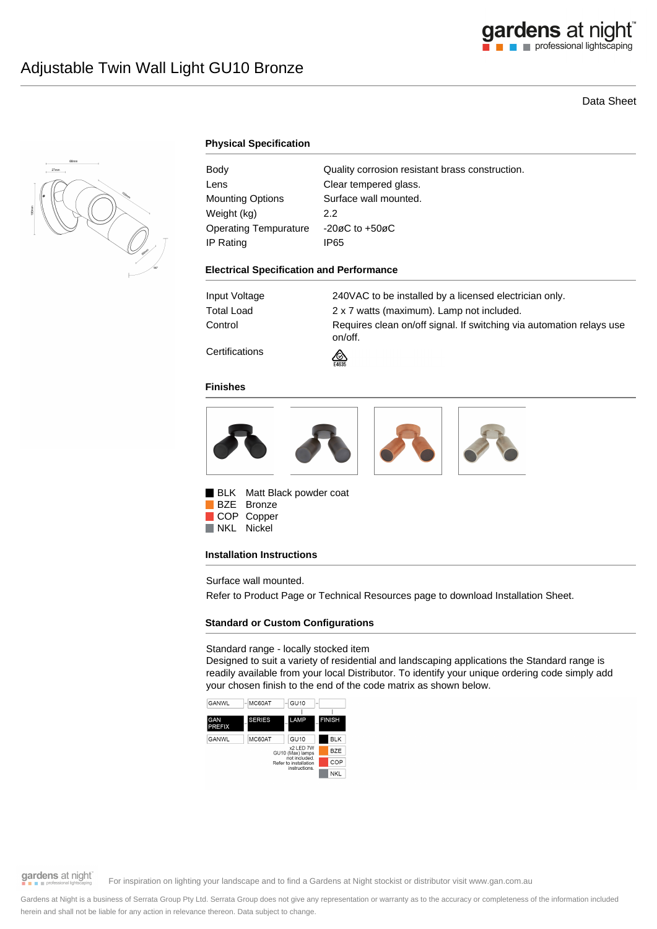

# Data Sheet



# **Physical Specification**

| Body                    | Quality corrosion resistant brass construction. |
|-------------------------|-------------------------------------------------|
| Lens                    | Clear tempered glass.                           |
| <b>Mounting Options</b> | Surface wall mounted.                           |
| Weight (kg)             | 2.2                                             |
| Operating Tempurature   | $-20\varnothing$ C to $+50\varnothing$ C        |
| IP Rating               | IP65                                            |

#### **Electrical Specification and Performance**

| Input Voltage        | 240VAC to be installed by a licensed electrician only.                          |
|----------------------|---------------------------------------------------------------------------------|
| Total Load           | 2 x 7 watts (maximum). Lamp not included.                                       |
| Control              | Requires clean on/off signal. If switching via automation relays use<br>on/off. |
| $\sim$ $\sim$ $\sim$ |                                                                                 |

**Certifications** 

#### **Finishes**



⚠

BLK Matt Black powder coat BZE Bronze COP Copper NKL Nickel

#### **Installation Instructions**

Surface wall mounted.

Refer to Product Page or Technical Resources page to download Installation Sheet.

# **Standard or Custom Configurations**

### Standard range - locally stocked item

Designed to suit a variety of residential and landscaping applications the Standard range is readily available from your local Distributor. To identify your unique ordering code simply add your chosen finish to the end of the code matrix as shown below.



gardens at night

For inspiration on lighting your landscape and to find a Gardens at Night stockist or distributor visit www.gan.com.au

Gardens at Night is a business of Serrata Group Pty Ltd. Serrata Group does not give any representation or warranty as to the accuracy or completeness of the information included herein and shall not be liable for any action in relevance thereon. Data subject to change.